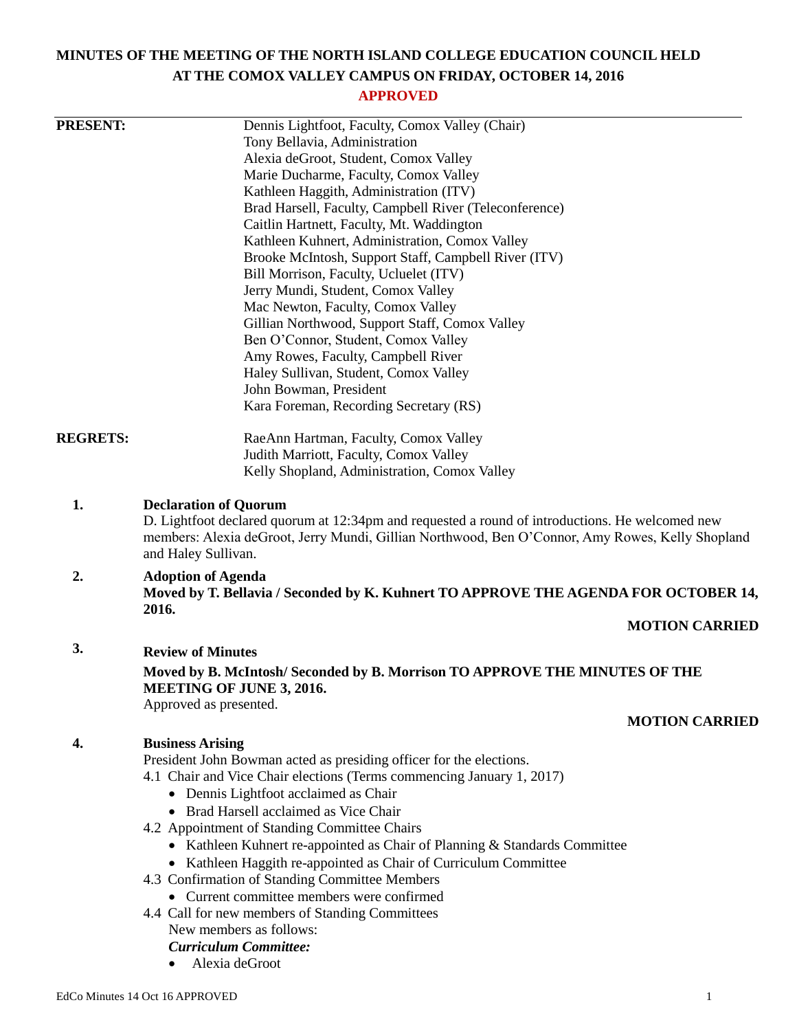# **MINUTES OF THE MEETING OF THE NORTH ISLAND COLLEGE EDUCATION COUNCIL HELD AT THE COMOX VALLEY CAMPUS ON FRIDAY, OCTOBER 14, 2016**

## **APPROVED**

| <b>PRESENT:</b> | Dennis Lightfoot, Faculty, Comox Valley (Chair)                                                                                                                                                                                                         |
|-----------------|---------------------------------------------------------------------------------------------------------------------------------------------------------------------------------------------------------------------------------------------------------|
|                 | Tony Bellavia, Administration                                                                                                                                                                                                                           |
|                 | Alexia deGroot, Student, Comox Valley                                                                                                                                                                                                                   |
|                 | Marie Ducharme, Faculty, Comox Valley                                                                                                                                                                                                                   |
|                 | Kathleen Haggith, Administration (ITV)                                                                                                                                                                                                                  |
|                 | Brad Harsell, Faculty, Campbell River (Teleconference)                                                                                                                                                                                                  |
|                 | Caitlin Hartnett, Faculty, Mt. Waddington                                                                                                                                                                                                               |
|                 | Kathleen Kuhnert, Administration, Comox Valley                                                                                                                                                                                                          |
|                 | Brooke McIntosh, Support Staff, Campbell River (ITV)                                                                                                                                                                                                    |
|                 | Bill Morrison, Faculty, Ucluelet (ITV)<br>Jerry Mundi, Student, Comox Valley                                                                                                                                                                            |
|                 | Mac Newton, Faculty, Comox Valley                                                                                                                                                                                                                       |
|                 | Gillian Northwood, Support Staff, Comox Valley                                                                                                                                                                                                          |
|                 | Ben O'Connor, Student, Comox Valley                                                                                                                                                                                                                     |
|                 | Amy Rowes, Faculty, Campbell River                                                                                                                                                                                                                      |
|                 | Haley Sullivan, Student, Comox Valley                                                                                                                                                                                                                   |
|                 | John Bowman, President                                                                                                                                                                                                                                  |
|                 | Kara Foreman, Recording Secretary (RS)                                                                                                                                                                                                                  |
| <b>REGRETS:</b> | RaeAnn Hartman, Faculty, Comox Valley                                                                                                                                                                                                                   |
|                 | Judith Marriott, Faculty, Comox Valley                                                                                                                                                                                                                  |
|                 | Kelly Shopland, Administration, Comox Valley                                                                                                                                                                                                            |
| 2.              | D. Lightfoot declared quorum at 12:34pm and requested a round of introductions. He welcomed new<br>members: Alexia deGroot, Jerry Mundi, Gillian Northwood, Ben O'Connor, Amy Rowes, Kelly Shopland<br>and Haley Sullivan.<br><b>Adoption of Agenda</b> |
|                 | Moved by T. Bellavia / Seconded by K. Kuhnert TO APPROVE THE AGENDA FOR OCTOBER 14,<br>2016.                                                                                                                                                            |
|                 | <b>MOTION CARRIED</b>                                                                                                                                                                                                                                   |
| 3.              | <b>Review of Minutes</b>                                                                                                                                                                                                                                |
|                 | Moved by B. McIntosh/Seconded by B. Morrison TO APPROVE THE MINUTES OF THE<br><b>MEETING OF JUNE 3, 2016.</b>                                                                                                                                           |
|                 | Approved as presented.<br><b>MOTION CARRIED</b>                                                                                                                                                                                                         |
| 4.              | <b>Business Arising</b>                                                                                                                                                                                                                                 |
|                 | President John Bowman acted as presiding officer for the elections.                                                                                                                                                                                     |
|                 | 4.1 Chair and Vice Chair elections (Terms commencing January 1, 2017)                                                                                                                                                                                   |
|                 | • Dennis Lightfoot acclaimed as Chair                                                                                                                                                                                                                   |
|                 | • Brad Harsell acclaimed as Vice Chair                                                                                                                                                                                                                  |
|                 | 4.2 Appointment of Standing Committee Chairs                                                                                                                                                                                                            |
|                 | • Kathleen Kuhnert re-appointed as Chair of Planning & Standards Committee                                                                                                                                                                              |
|                 | • Kathleen Haggith re-appointed as Chair of Curriculum Committee                                                                                                                                                                                        |
|                 | 4.3 Confirmation of Standing Committee Members                                                                                                                                                                                                          |
|                 | • Current committee members were confirmed                                                                                                                                                                                                              |
|                 | 4.4 Call for new members of Standing Committees                                                                                                                                                                                                         |
|                 | New members as follows:                                                                                                                                                                                                                                 |
|                 | <b>Curriculum Committee:</b>                                                                                                                                                                                                                            |
|                 | Alexia deGroot                                                                                                                                                                                                                                          |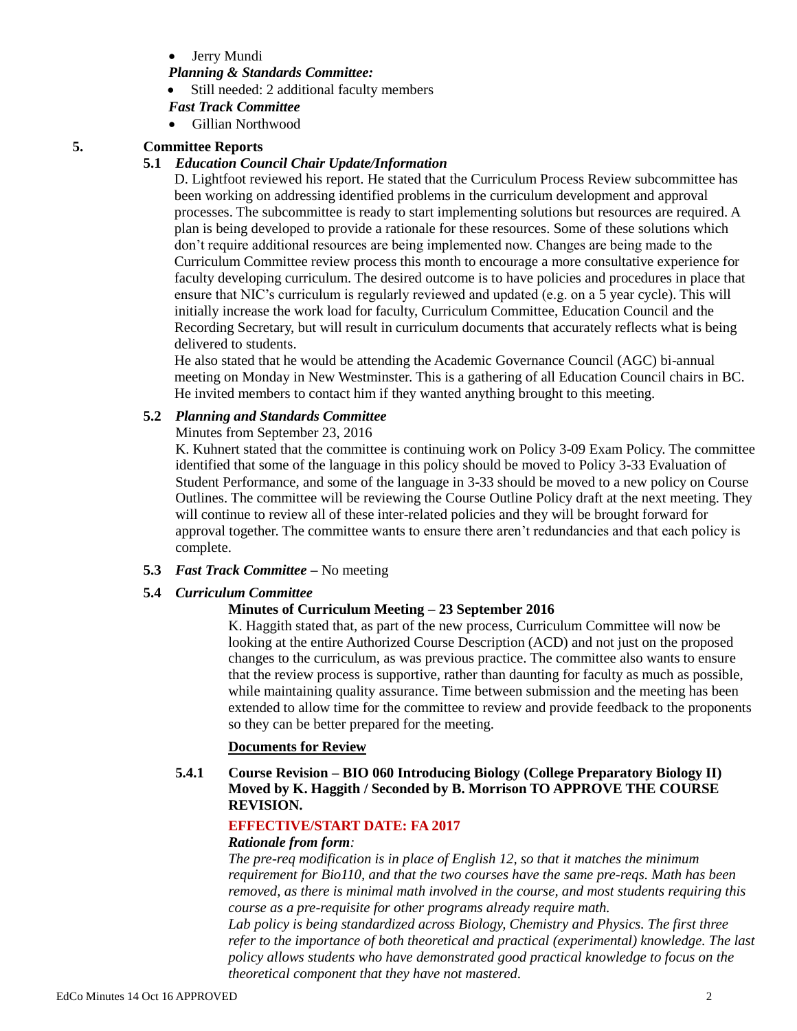Jerry Mundi

### *Planning & Standards Committee:*

- Still needed: 2 additional faculty members
- *Fast Track Committee*
- Gillian Northwood

## **5. Committee Reports**

#### **5.1** *Education Council Chair Update/Information*

D. Lightfoot reviewed his report. He stated that the Curriculum Process Review subcommittee has been working on addressing identified problems in the curriculum development and approval processes. The subcommittee is ready to start implementing solutions but resources are required. A plan is being developed to provide a rationale for these resources. Some of these solutions which don't require additional resources are being implemented now. Changes are being made to the Curriculum Committee review process this month to encourage a more consultative experience for faculty developing curriculum. The desired outcome is to have policies and procedures in place that ensure that NIC's curriculum is regularly reviewed and updated (e.g. on a 5 year cycle). This will initially increase the work load for faculty, Curriculum Committee, Education Council and the Recording Secretary, but will result in curriculum documents that accurately reflects what is being delivered to students.

He also stated that he would be attending the Academic Governance Council (AGC) bi-annual meeting on Monday in New Westminster. This is a gathering of all Education Council chairs in BC. He invited members to contact him if they wanted anything brought to this meeting.

#### **5.2** *Planning and Standards Committee*

Minutes from September 23, 2016

K. Kuhnert stated that the committee is continuing work on Policy 3-09 Exam Policy. The committee identified that some of the language in this policy should be moved to Policy 3-33 Evaluation of Student Performance, and some of the language in 3-33 should be moved to a new policy on Course Outlines. The committee will be reviewing the Course Outline Policy draft at the next meeting. They will continue to review all of these inter-related policies and they will be brought forward for approval together. The committee wants to ensure there aren't redundancies and that each policy is complete.

**5.3** *Fast Track Committee –* No meeting

#### **5.4** *Curriculum Committee*

## **Minutes of Curriculum Meeting – 23 September 2016**

K. Haggith stated that, as part of the new process, Curriculum Committee will now be looking at the entire Authorized Course Description (ACD) and not just on the proposed changes to the curriculum, as was previous practice. The committee also wants to ensure that the review process is supportive, rather than daunting for faculty as much as possible, while maintaining quality assurance. Time between submission and the meeting has been extended to allow time for the committee to review and provide feedback to the proponents so they can be better prepared for the meeting.

## **Documents for Review**

## **5.4.1 Course Revision – BIO 060 Introducing Biology (College Preparatory Biology II) Moved by K. Haggith / Seconded by B. Morrison TO APPROVE THE COURSE REVISION.**

## **EFFECTIVE/START DATE: FA 2017**

#### *Rationale from form:*

*The pre-req modification is in place of English 12, so that it matches the minimum requirement for Bio110, and that the two courses have the same pre-reqs. Math has been removed, as there is minimal math involved in the course, and most students requiring this course as a pre-requisite for other programs already require math.*

*Lab policy is being standardized across Biology, Chemistry and Physics. The first three refer to the importance of both theoretical and practical (experimental) knowledge. The last policy allows students who have demonstrated good practical knowledge to focus on the theoretical component that they have not mastered.*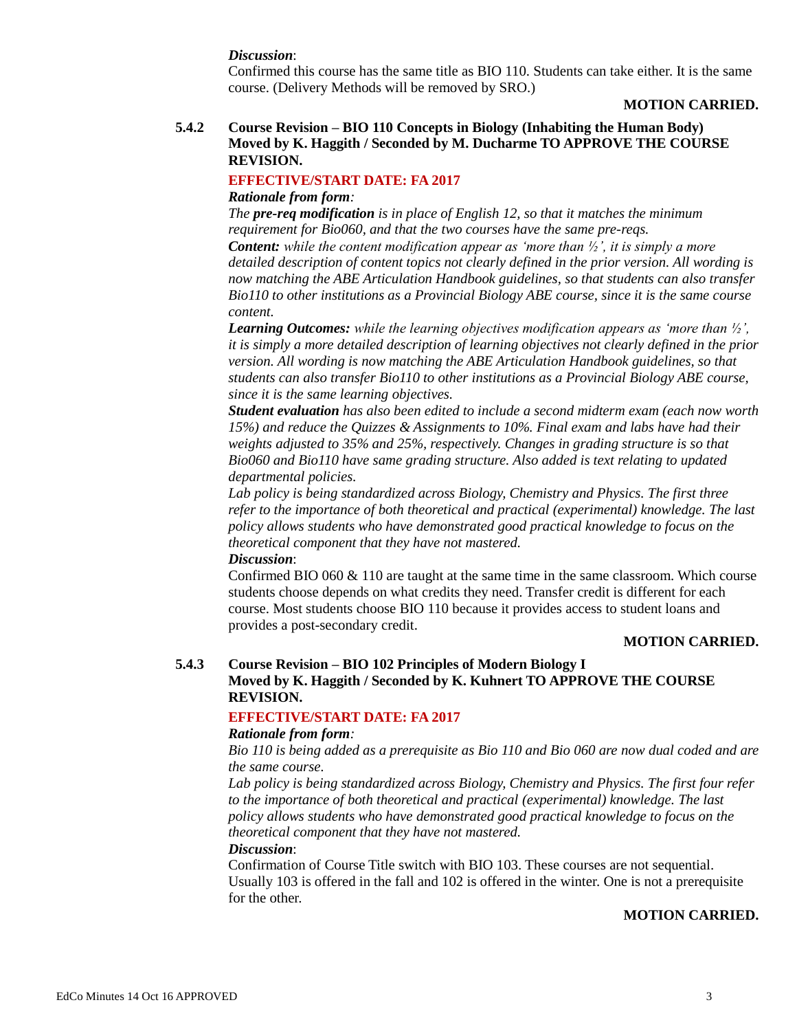#### *Discussion*:

Confirmed this course has the same title as BIO 110. Students can take either. It is the same course. (Delivery Methods will be removed by SRO.)

#### **MOTION CARRIED.**

## **5.4.2 Course Revision – BIO 110 Concepts in Biology (Inhabiting the Human Body) Moved by K. Haggith / Seconded by M. Ducharme TO APPROVE THE COURSE REVISION.**

## **EFFECTIVE/START DATE: FA 2017**

#### *Rationale from form:*

*The pre-req modification is in place of English 12, so that it matches the minimum requirement for Bio060, and that the two courses have the same pre-reqs. Content: while the content modification appear as 'more than ½', it is simply a more detailed description of content topics not clearly defined in the prior version. All wording is now matching the ABE Articulation Handbook guidelines, so that students can also transfer Bio110 to other institutions as a Provincial Biology ABE course, since it is the same course content.* 

*Learning Outcomes: while the learning objectives modification appears as 'more than ½', it is simply a more detailed description of learning objectives not clearly defined in the prior version. All wording is now matching the ABE Articulation Handbook guidelines, so that students can also transfer Bio110 to other institutions as a Provincial Biology ABE course, since it is the same learning objectives.* 

*Student evaluation has also been edited to include a second midterm exam (each now worth 15%) and reduce the Quizzes & Assignments to 10%. Final exam and labs have had their weights adjusted to 35% and 25%, respectively. Changes in grading structure is so that Bio060 and Bio110 have same grading structure. Also added is text relating to updated departmental policies.*

*Lab policy is being standardized across Biology, Chemistry and Physics. The first three refer to the importance of both theoretical and practical (experimental) knowledge. The last policy allows students who have demonstrated good practical knowledge to focus on the theoretical component that they have not mastered.*

#### *Discussion*:

Confirmed BIO  $060 \& 110$  are taught at the same time in the same classroom. Which course students choose depends on what credits they need. Transfer credit is different for each course. Most students choose BIO 110 because it provides access to student loans and provides a post-secondary credit.

#### **MOTION CARRIED.**

## **5.4.3 Course Revision – BIO 102 Principles of Modern Biology I Moved by K. Haggith / Seconded by K. Kuhnert TO APPROVE THE COURSE REVISION.**

## **EFFECTIVE/START DATE: FA 2017**

#### *Rationale from form:*

*Bio 110 is being added as a prerequisite as Bio 110 and Bio 060 are now dual coded and are the same course.* 

*Lab policy is being standardized across Biology, Chemistry and Physics. The first four refer to the importance of both theoretical and practical (experimental) knowledge. The last policy allows students who have demonstrated good practical knowledge to focus on the theoretical component that they have not mastered.*

#### *Discussion*:

Confirmation of Course Title switch with BIO 103. These courses are not sequential. Usually 103 is offered in the fall and 102 is offered in the winter. One is not a prerequisite for the other.

#### **MOTION CARRIED.**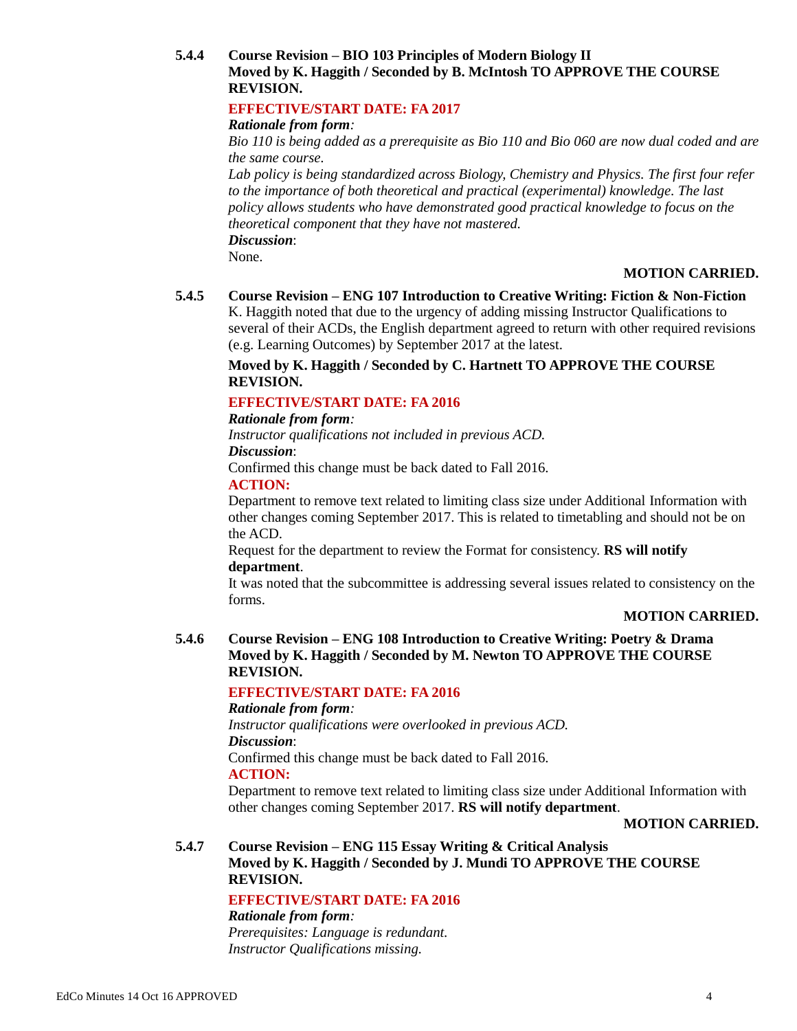## **5.4.4 Course Revision – BIO 103 Principles of Modern Biology II Moved by K. Haggith / Seconded by B. McIntosh TO APPROVE THE COURSE REVISION.**

## **EFFECTIVE/START DATE: FA 2017**

### *Rationale from form:*

*Bio 110 is being added as a prerequisite as Bio 110 and Bio 060 are now dual coded and are the same course.* 

*Lab policy is being standardized across Biology, Chemistry and Physics. The first four refer to the importance of both theoretical and practical (experimental) knowledge. The last policy allows students who have demonstrated good practical knowledge to focus on the theoretical component that they have not mastered.* 

*Discussion*:

None.

## **MOTION CARRIED.**

## **5.4.5 Course Revision – ENG 107 Introduction to Creative Writing: Fiction & Non-Fiction**

K. Haggith noted that due to the urgency of adding missing Instructor Qualifications to several of their ACDs, the English department agreed to return with other required revisions (e.g. Learning Outcomes) by September 2017 at the latest.

## **Moved by K. Haggith / Seconded by C. Hartnett TO APPROVE THE COURSE REVISION.**

## **EFFECTIVE/START DATE: FA 2016**

#### *Rationale from form:*

*Instructor qualifications not included in previous ACD. Discussion*:

Confirmed this change must be back dated to Fall 2016.

#### **ACTION:**

Department to remove text related to limiting class size under Additional Information with other changes coming September 2017. This is related to timetabling and should not be on the ACD.

Request for the department to review the Format for consistency. **RS will notify department**.

It was noted that the subcommittee is addressing several issues related to consistency on the forms.

## **MOTION CARRIED.**

## **5.4.6 Course Revision – ENG 108 Introduction to Creative Writing: Poetry & Drama Moved by K. Haggith / Seconded by M. Newton TO APPROVE THE COURSE REVISION.**

## **EFFECTIVE/START DATE: FA 2016**

## *Rationale from form:*

*Instructor qualifications were overlooked in previous ACD. Discussion*: Confirmed this change must be back dated to Fall 2016. **ACTION:**

Department to remove text related to limiting class size under Additional Information with other changes coming September 2017. **RS will notify department**.

#### **MOTION CARRIED.**

### **5.4.7 Course Revision – ENG 115 Essay Writing & Critical Analysis Moved by K. Haggith / Seconded by J. Mundi TO APPROVE THE COURSE REVISION.**

#### **EFFECTIVE/START DATE: FA 2016**

*Rationale from form:*

*Prerequisites: Language is redundant. Instructor Qualifications missing.*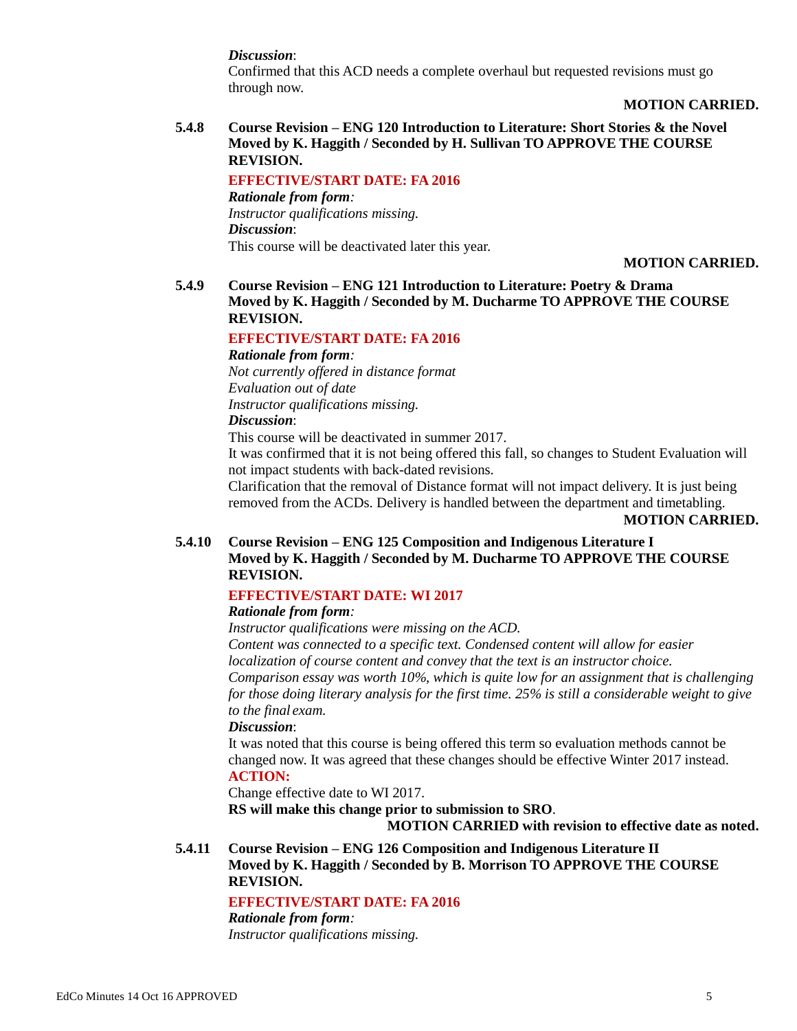*Discussion*:

Confirmed that this ACD needs a complete overhaul but requested revisions must go through now.

## **MOTION CARRIED.**

**5.4.8 Course Revision – ENG 120 Introduction to Literature: Short Stories & the Novel Moved by K. Haggith / Seconded by H. Sullivan TO APPROVE THE COURSE REVISION.**

**EFFECTIVE/START DATE: FA 2016** *Rationale from form: Instructor qualifications missing. Discussion*: This course will be deactivated later this year.

## **MOTION CARRIED.**

## **5.4.9 Course Revision – ENG 121 Introduction to Literature: Poetry & Drama Moved by K. Haggith / Seconded by M. Ducharme TO APPROVE THE COURSE REVISION.**

## **EFFECTIVE/START DATE: FA 2016**

*Rationale from form: Not currently offered in distance format Evaluation out of date Instructor qualifications missing. Discussion*:

This course will be deactivated in summer 2017.

It was confirmed that it is not being offered this fall, so changes to Student Evaluation will not impact students with back-dated revisions.

Clarification that the removal of Distance format will not impact delivery. It is just being removed from the ACDs. Delivery is handled between the department and timetabling.

**MOTION CARRIED.**

**5.4.10 Course Revision – ENG 125 Composition and Indigenous Literature I Moved by K. Haggith / Seconded by M. Ducharme TO APPROVE THE COURSE REVISION.**

## **EFFECTIVE/START DATE: WI 2017**

## *Rationale from form:*

*Instructor qualifications were missing on the ACD. Content was connected to a specific text. Condensed content will allow for easier localization of course content and convey that the text is an instructor choice. Comparison essay was worth 10%, which is quite low for an assignment that is challenging for those doing literary analysis for the first time. 25% is still a considerable weight to give to the final exam.*

#### *Discussion*:

It was noted that this course is being offered this term so evaluation methods cannot be changed now. It was agreed that these changes should be effective Winter 2017 instead. **ACTION:**

Change effective date to WI 2017.

**RS will make this change prior to submission to SRO**.

**MOTION CARRIED with revision to effective date as noted.**

**5.4.11 Course Revision – ENG 126 Composition and Indigenous Literature II Moved by K. Haggith / Seconded by B. Morrison TO APPROVE THE COURSE REVISION.**

## **EFFECTIVE/START DATE: FA 2016**

*Rationale from form: Instructor qualifications missing.*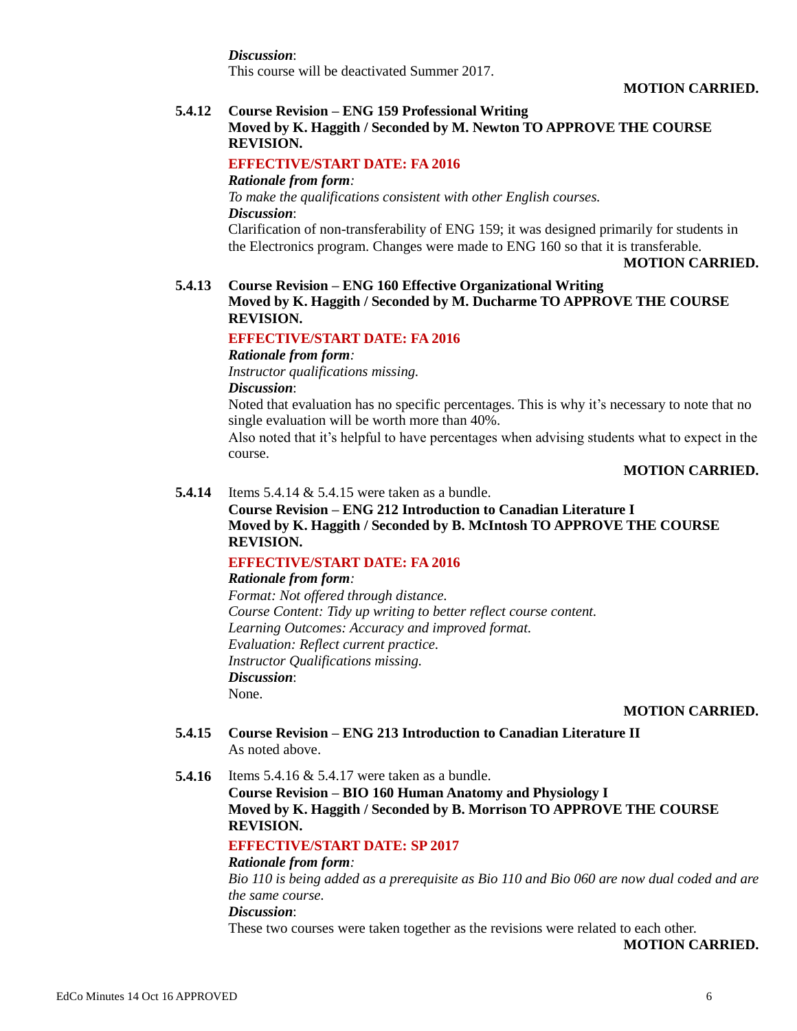*Discussion*: This course will be deactivated Summer 2017.

#### **MOTION CARRIED.**

#### **5.4.12 Course Revision – ENG 159 Professional Writing**

## **Moved by K. Haggith / Seconded by M. Newton TO APPROVE THE COURSE REVISION.**

## **EFFECTIVE/START DATE: FA 2016**

*Rationale from form: To make the qualifications consistent with other English courses. Discussion*:

Clarification of non-transferability of ENG 159; it was designed primarily for students in the Electronics program. Changes were made to ENG 160 so that it is transferable.

#### **MOTION CARRIED.**

### **5.4.13 Course Revision – ENG 160 Effective Organizational Writing Moved by K. Haggith / Seconded by M. Ducharme TO APPROVE THE COURSE REVISION.**

#### **EFFECTIVE/START DATE: FA 2016**

*Rationale from form:*

*Instructor qualifications missing.*

*Discussion*:

Noted that evaluation has no specific percentages. This is why it's necessary to note that no single evaluation will be worth more than 40%.

Also noted that it's helpful to have percentages when advising students what to expect in the course.

#### **MOTION CARRIED.**

#### **5.4.14** Items 5.4.14 & 5.4.15 were taken as a bundle.

## **Course Revision – ENG 212 Introduction to Canadian Literature I Moved by K. Haggith / Seconded by B. McIntosh TO APPROVE THE COURSE REVISION.**

## **EFFECTIVE/START DATE: FA 2016**

## *Rationale from form:*

*Format: Not offered through distance. Course Content: Tidy up writing to better reflect course content. Learning Outcomes: Accuracy and improved format. Evaluation: Reflect current practice. Instructor Qualifications missing. Discussion*: None.

**MOTION CARRIED.**

- **5.4.15 Course Revision – ENG 213 Introduction to Canadian Literature II** As noted above.
- **5.4.16** Items 5.4.16 & 5.4.17 were taken as a bundle.

**Course Revision – BIO 160 Human Anatomy and Physiology I Moved by K. Haggith / Seconded by B. Morrison TO APPROVE THE COURSE REVISION.**

## **EFFECTIVE/START DATE: SP 2017**

## *Rationale from form:*

*Bio 110 is being added as a prerequisite as Bio 110 and Bio 060 are now dual coded and are the same course.* 

#### *Discussion*:

These two courses were taken together as the revisions were related to each other.

**MOTION CARRIED.**